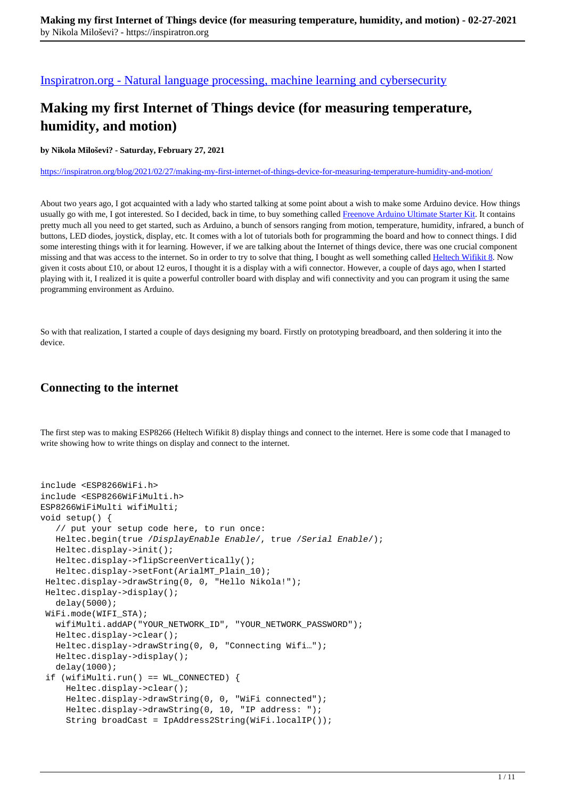[Inspiratron.org - Natural language processing, machine learning and cybersecurity](https://inspiratron.org)

# **Making my first Internet of Things device (for measuring temperature, humidity, and motion)**

**by Nikola Miloševi? - Saturday, February 27, 2021**

https://inspiratron.org/blog/2021/02/27/making-my-first-internet-of-things-device-for-measuring-temperature-humidity-and-motion/

About two years ago, I got acquainted with a lady who started talking at some point about a wish to make some Arduino device. How things usually go with me, I got interested. So I decided, back in time, to buy something called Freenove Arduino Ultimate Starter Kit. It contains pretty much all you need to get started, such as Arduino, a bunch of sensors ranging from motion, temperature, humidity, infrared, a bunch of buttons, LED diodes, joystick, display, etc. It comes with a lot of tutorials both for programming the board and how to connect things. I did some interesting things with it for learning. However, if we are talking about the Internet of things device, there was one crucial component missing and that was access to the internet. So in order to try to solve that thing, I bought as well something called Heltech Wifikit 8. Now given it costs about £10, or about 12 euros, I thought it is a display with a wifi connector. However, a couple of days ago, when I started playing with it, I realized it is quite a powerful controller board with display and wifi connectivity and you can program it using the same programming environment as Arduino.

So with that realization, I started a couple of days designing my board. Firstly on prototyping breadboard, and then soldering it into the device.

## **Connecting to the internet**

The first step was to making ESP8266 (Heltech Wifikit 8) display things and connect to the internet. Here is some code that I managed to write showing how to write things on display and connect to the internet.

```
include <ESP8266WiFi.h>
include <ESP8266WiFiMulti.h>
ESP8266WiFiMulti wifiMulti;
void setup() {
    // put your setup code here, to run once:
    Heltec.begin(true /DisplayEnable Enable/, true /Serial Enable/);
    Heltec.display->init();
    Heltec.display->flipScreenVertically();
    Heltec.display->setFont(ArialMT_Plain_10);
  Heltec.display->drawString(0, 0, "Hello Nikola!");
  Heltec.display->display();
    delay(5000);
  WiFi.mode(WIFI_STA);
    wifiMulti.addAP("YOUR_NETWORK_ID", "YOUR_NETWORK_PASSWORD");
    Heltec.display->clear();
    Heltec.display->drawString(0, 0, "Connecting Wifi…");
    Heltec.display->display();
    delay(1000);
  if (wifiMulti.run() == WL_CONNECTED) {
      Heltec.display->clear();
      Heltec.display->drawString(0, 0, "WiFi connected");
      Heltec.display->drawString(0, 10, "IP address: "); 
      String broadCast = IpAddress2String(WiFi.localIP());
```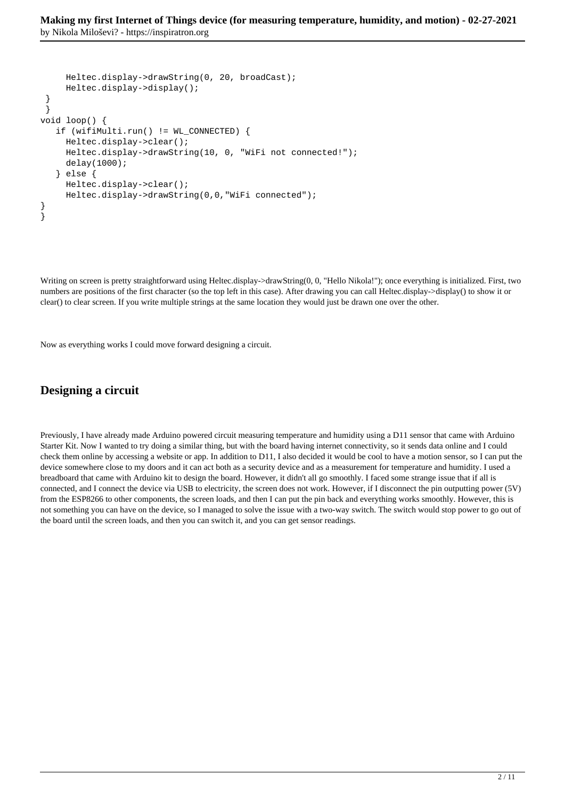```
 Heltec.display->drawString(0, 20, broadCast); 
      Heltec.display->display();
  }
  }
void loop() {
    if (wifiMulti.run() != WL_CONNECTED) {
      Heltec.display->clear();
      Heltec.display->drawString(10, 0, "WiFi not connected!");
      delay(1000);
    } else {
      Heltec.display->clear();
      Heltec.display->drawString(0,0,"WiFi connected");
}
}
```
Writing on screen is pretty straightforward using Heltec.display->drawString(0, 0, "Hello Nikola!"); once everything is initialized. First, two numbers are positions of the first character (so the top left in this case). After drawing you can call Heltec.display->display() to show it or clear() to clear screen. If you write multiple strings at the same location they would just be drawn one over the other.

Now as everything works I could move forward designing a circuit.

## **Designing a circuit**

Previously, I have already made Arduino powered circuit measuring temperature and humidity using a D11 sensor that came with Arduino Starter Kit. Now I wanted to try doing a similar thing, but with the board having internet connectivity, so it sends data online and I could check them online by accessing a website or app. In addition to D11, I also decided it would be cool to have a motion sensor, so I can put the device somewhere close to my doors and it can act both as a security device and as a measurement for temperature and humidity. I used a breadboard that came with Arduino kit to design the board. However, it didn't all go smoothly. I faced some strange issue that if all is connected, and I connect the device via USB to electricity, the screen does not work. However, if I disconnect the pin outputting power (5V) from the ESP8266 to other components, the screen loads, and then I can put the pin back and everything works smoothly. However, this is not something you can have on the device, so I managed to solve the issue with a two-way switch. The switch would stop power to go out of the board until the screen loads, and then you can switch it, and you can get sensor readings.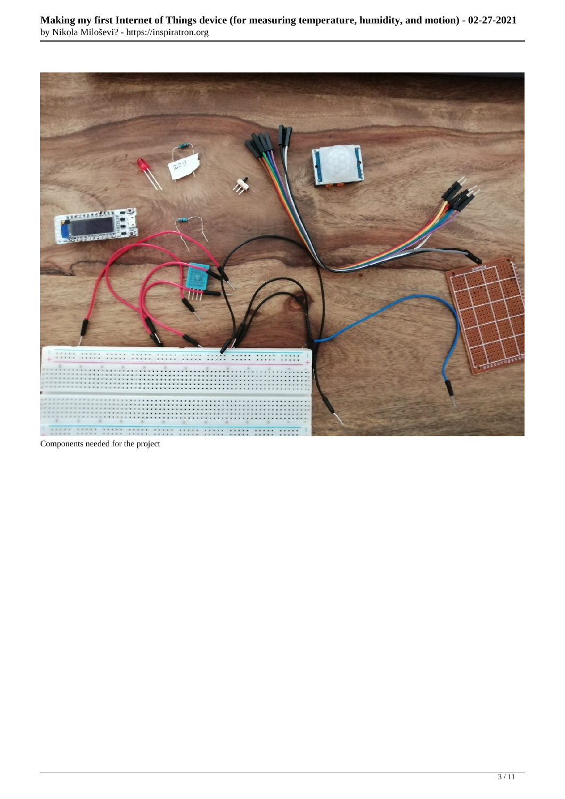

Components needed for the project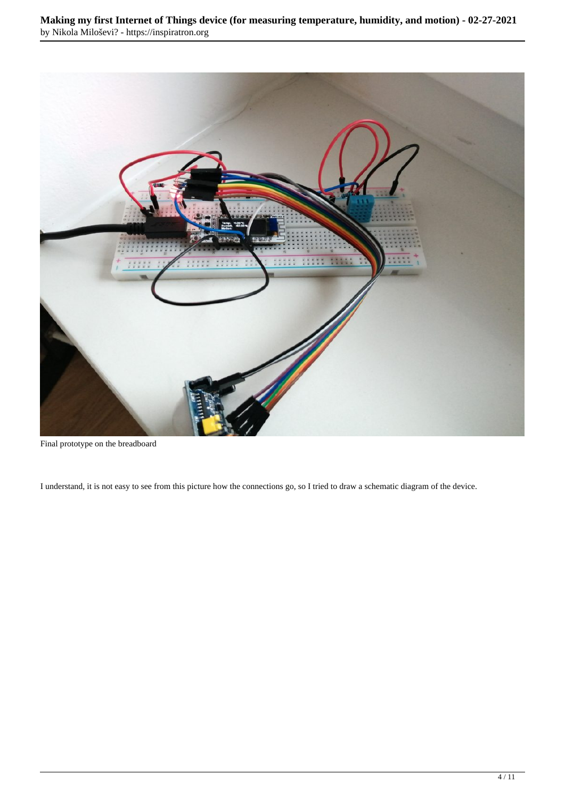

Final prototype on the breadboard

I understand, it is not easy to see from this picture how the connections go, so I tried to draw a schematic diagram of the device.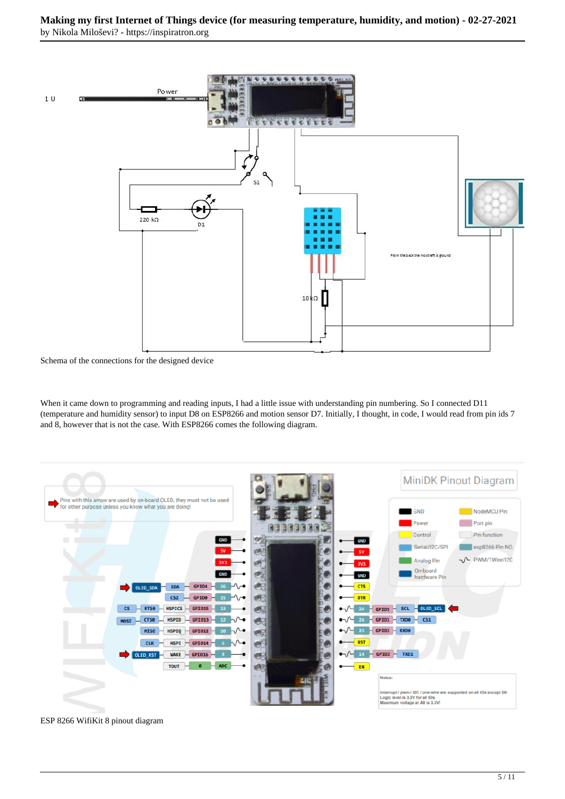

Schema of the connections for the designed device

When it came down to programming and reading inputs, I had a little issue with understanding pin numbering. So I connected D11 (temperature and humidity sensor) to input D8 on ESP8266 and motion sensor D7. Initially, I thought, in code, I would read from pin ids 7 and 8, however that is not the case. With ESP8266 comes the following diagram.



ESP 8266 WifiKit 8 pinout diagram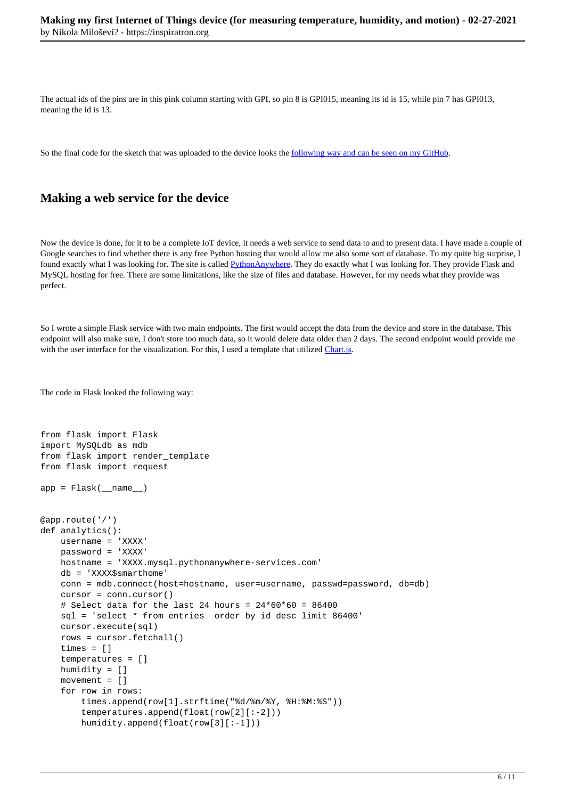The actual ids of the pins are in this pink column starting with GPI, so pin 8 is GPI015, meaning its id is 15, while pin 7 has GPI013, meaning the id is 13.

So the final code for the sketch that was uploaded to the device looks the following way and can be seen on my GitHub.

#### **Making a web service for the device**

Now the device is done, for it to be a complete IoT device, it needs a web service to send data to and to present data. I have made a couple of Google searches to find whether there is any free Python hosting that would allow me also some sort of database. To my quite big surprise, I found exactly what I was looking for. The site is called PythonAnywhere. They do exactly what I was looking for. They provide Flask and MySQL hosting for free. There are some limitations, like the size of files and database. However, for my needs what they provide was perfect.

So I wrote a simple Flask service with two main endpoints. The first would accept the data from the device and store in the database. This endpoint will also make sure, I don't store too much data, so it would delete data older than 2 days. The second endpoint would provide me with the user interface for the visualization. For this, I used a template that utilized Chart.js.

The code in Flask looked the following way:

```
from flask import Flask
import MySQLdb as mdb
from flask import render_template
from flask import request
app = Flask(\texttt{__name__})@app.route('/')
def analytics():
     username = 'XXXX'
     password = 'XXXX'
     hostname = 'XXXX.mysql.pythonanywhere-services.com'
     db = 'XXXX$smarthome'
     conn = mdb.connect(host=hostname, user=username, passwd=password, db=db)
     cursor = conn.cursor()
    # Select data for the last 24 hours = 24*60*60 = 86400 sql = 'select * from entries order by id desc limit 86400'
     cursor.execute(sql)
     rows = cursor.fetchall()
     times = []
     temperatures = []
     humidity = []
     movement = []
     for row in rows:
         times.append(row[1].strftime("%d/%m/%Y, %H:%M:%S"))
         temperatures.append(float(row[2][:-2]))
         humidity.append(float(row[3][:-1]))
```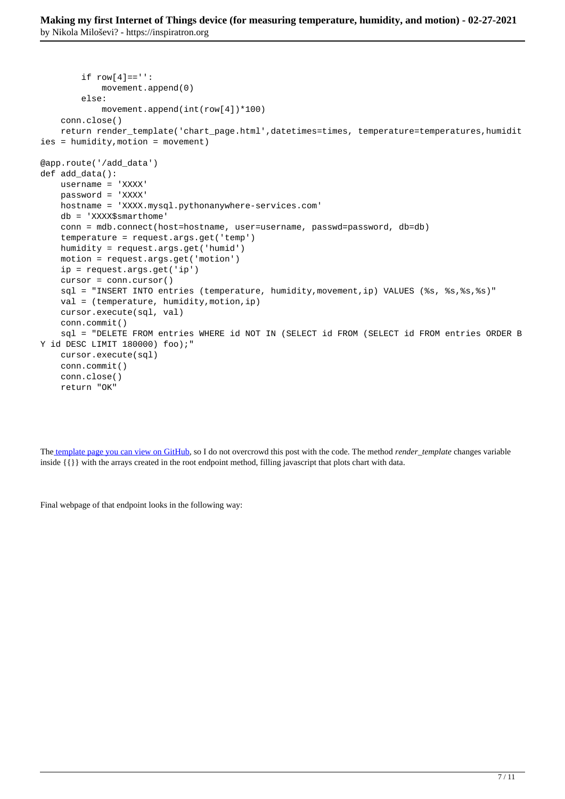```
if row[4]=='': movement.append(0)
         else:
             movement.append(int(row[4])*100)
     conn.close()
     return render_template('chart_page.html',datetimes=times, temperature=temperatures,humidit
ies = humidity,motion = movement)
@app.route('/add_data')
def add_data():
     username = 'XXXX'
     password = 'XXXX'
     hostname = 'XXXX.mysql.pythonanywhere-services.com'
     db = 'XXXX$smarthome'
     conn = mdb.connect(host=hostname, user=username, passwd=password, db=db)
     temperature = request.args.get('temp')
     humidity = request.args.get('humid')
     motion = request.args.get('motion')
     ip = request.args.get('ip')
     cursor = conn.cursor()
     sql = "INSERT INTO entries (temperature, humidity,movement,ip) VALUES (%s, %s,%s,%s)"
     val = (temperature, humidity,motion,ip)
     cursor.execute(sql, val)
     conn.commit()
     sql = "DELETE FROM entries WHERE id NOT IN (SELECT id FROM (SELECT id FROM entries ORDER B
Y id DESC LIMIT 180000) foo);"
     cursor.execute(sql)
     conn.commit()
     conn.close()
     return "OK"
```
The template page you can view on GitHub, so I do not overcrowd this post with the code. The method *render\_template* changes variable inside {{}} with the arrays created in the root endpoint method, filling javascript that plots chart with data.

Final webpage of that endpoint looks in the following way: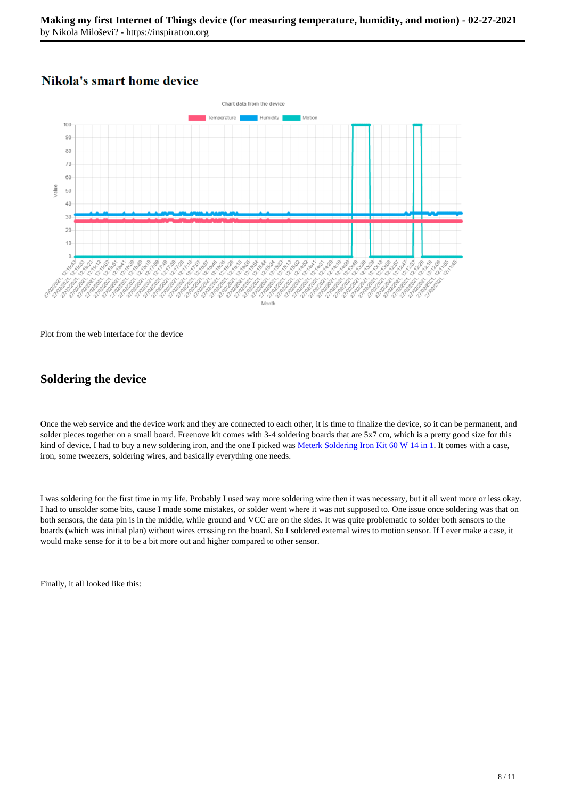## **Nikola's smart home device**



Plot from the web interface for the device

## **Soldering the device**

Once the web service and the device work and they are connected to each other, it is time to finalize the device, so it can be permanent, and solder pieces together on a small board. Freenove kit comes with 3-4 soldering boards that are 5x7 cm, which is a pretty good size for this kind of device. I had to buy a new soldering iron, and the one I picked was Meterk Soldering Iron Kit 60 W 14 in 1. It comes with a case, iron, some tweezers, soldering wires, and basically everything one needs.

I was soldering for the first time in my life. Probably I used way more soldering wire then it was necessary, but it all went more or less okay. I had to unsolder some bits, cause I made some mistakes, or solder went where it was not supposed to. One issue once soldering was that on both sensors, the data pin is in the middle, while ground and VCC are on the sides. It was quite problematic to solder both sensors to the boards (which was initial plan) without wires crossing on the board. So I soldered external wires to motion sensor. If I ever make a case, it would make sense for it to be a bit more out and higher compared to other sensor.

Finally, it all looked like this: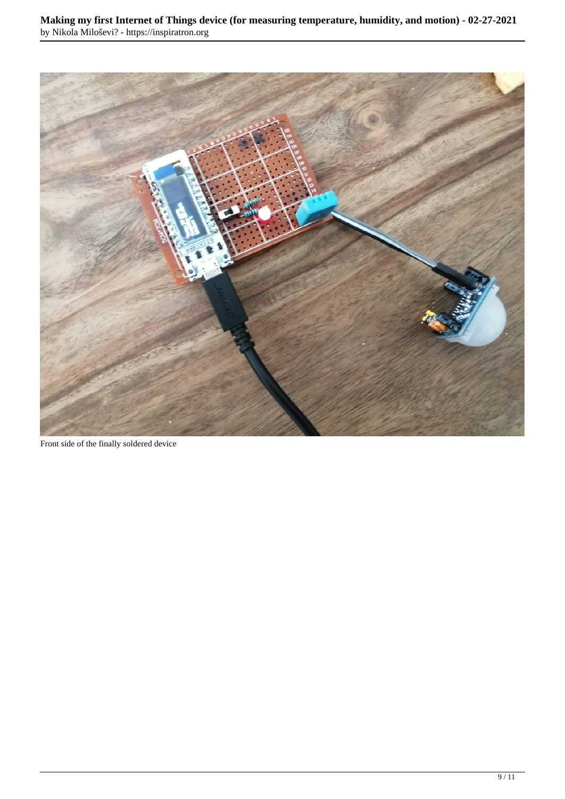

Front side of the finally soldered device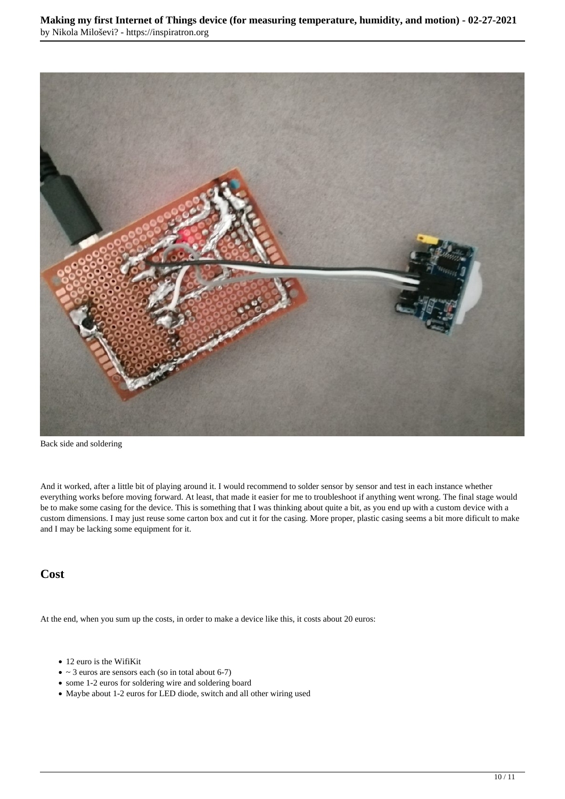

Back side and soldering

And it worked, after a little bit of playing around it. I would recommend to solder sensor by sensor and test in each instance whether everything works before moving forward. At least, that made it easier for me to troubleshoot if anything went wrong. The final stage would be to make some casing for the device. This is something that I was thinking about quite a bit, as you end up with a custom device with a custom dimensions. I may just reuse some carton box and cut it for the casing. More proper, plastic casing seems a bit more dificult to make and I may be lacking some equipment for it.

#### **Cost**

At the end, when you sum up the costs, in order to make a device like this, it costs about 20 euros:

- 12 euro is the WifiKit
- $\bullet \sim 3$  euros are sensors each (so in total about 6-7)
- some 1-2 euros for soldering wire and soldering board
- Maybe about 1-2 euros for LED diode, switch and all other wiring used